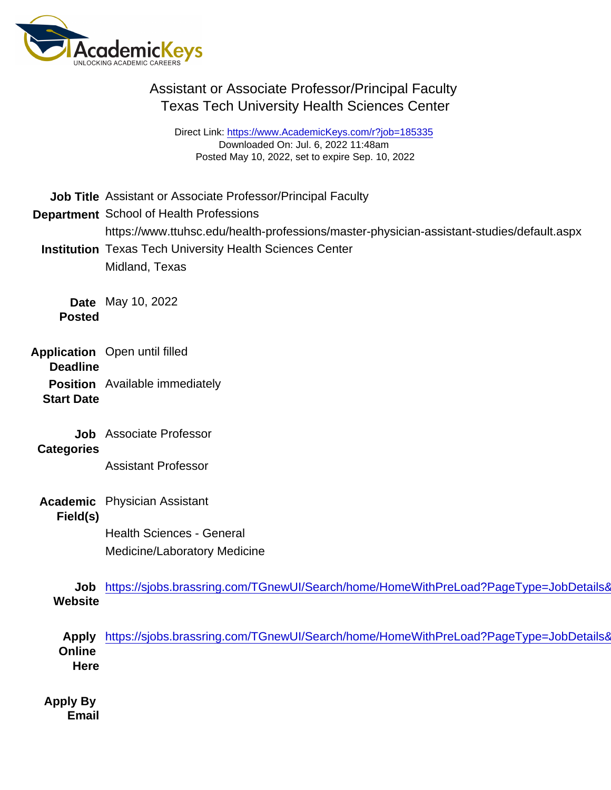Direct Link: <https://www.AcademicKeys.com/r?job=185335> Downloaded On: Jul. 6, 2022 11:48am Posted May 10, 2022, set to expire Sep. 10, 2022

Job Title Assistant or Associate Professor/Principal Faculty Department School of Health Professions https://www.ttuhsc.edu/health-professions/master-physician-assistant-studies/default.aspx Institution Texas Tech University Health Sciences Center Midland, Texas Date May 10, 2022 Posted Application Deadline Open until filled Position Start Date Available immediately Job Associate Professor **Categories** Assistant Professor Academic Field(s) Physician Assistant Health Sciences - General Medicine/Laboratory Medicine Job **Website** https://sjobs.brassring.com/TGnewUI/Search/home/HomeWithPreLoad?PageType=JobDetails& Apply **Online Here** https://sjobs.brassring.com/TGnewUI/Search/home/HomeWithPreLoad?PageType=JobDetails& Apply By Email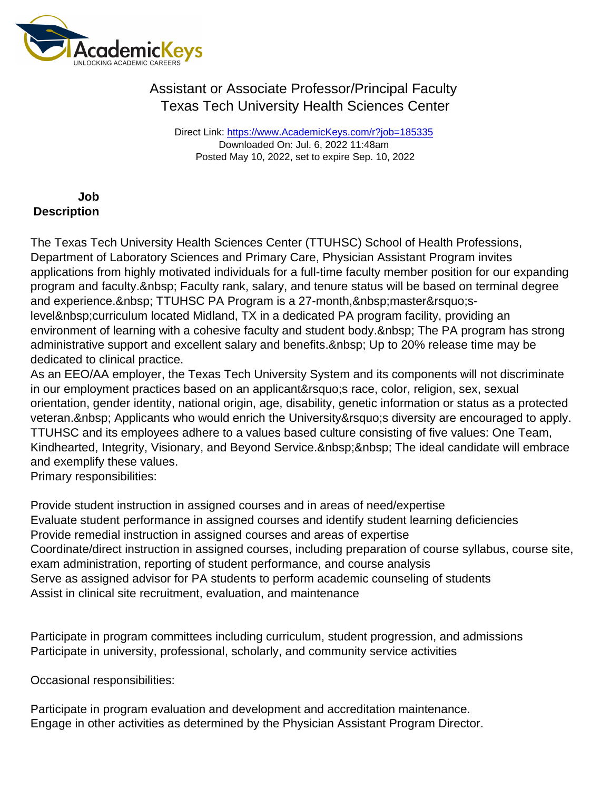Direct Link: <https://www.AcademicKeys.com/r?job=185335> Downloaded On: Jul. 6, 2022 11:48am Posted May 10, 2022, set to expire Sep. 10, 2022

Job **Description** 

The Texas Tech University Health Sciences Center (TTUHSC) School of Health Professions, Department of Laboratory Sciences and Primary Care, Physician Assistant Program invites applications from highly motivated individuals for a full-time faculty member position for our expanding program and faculty. & nbsp; Faculty rank, salary, and tenure status will be based on terminal degree and experience. TTUHSC PA Program is a 27-month, master'slevel curriculum located Midland, TX in a dedicated PA program facility, providing an environment of learning with a cohesive faculty and student body. & nbsp; The PA program has strong administrative support and excellent salary and benefits. Up to 20% release time may be dedicated to clinical practice.

As an EEO/AA employer, the Texas Tech University System and its components will not discriminate in our employment practices based on an applicant' race, color, religion, sex, sexual orientation, gender identity, national origin, age, disability, genetic information or status as a protected veteran. & nbsp: Applicants who would enrich the University & requestive are encouraged to apply. TTUHSC and its employees adhere to a values based culture consisting of five values: One Team, Kindhearted, Integrity, Visionary, and Beyond Service. The ideal candidate will embrace and exemplify these values.

Primary responsibilities:

Provide student instruction in assigned courses and in areas of need/expertise Evaluate student performance in assigned courses and identify student learning deficiencies Provide remedial instruction in assigned courses and areas of expertise Coordinate/direct instruction in assigned courses, including preparation of course syllabus, course site, exam administration, reporting of student performance, and course analysis Serve as assigned advisor for PA students to perform academic counseling of students Assist in clinical site recruitment, evaluation, and maintenance

Participate in program committees including curriculum, student progression, and admissions Participate in university, professional, scholarly, and community service activities

Occasional responsibilities:

Participate in program evaluation and development and accreditation maintenance. Engage in other activities as determined by the Physician Assistant Program Director.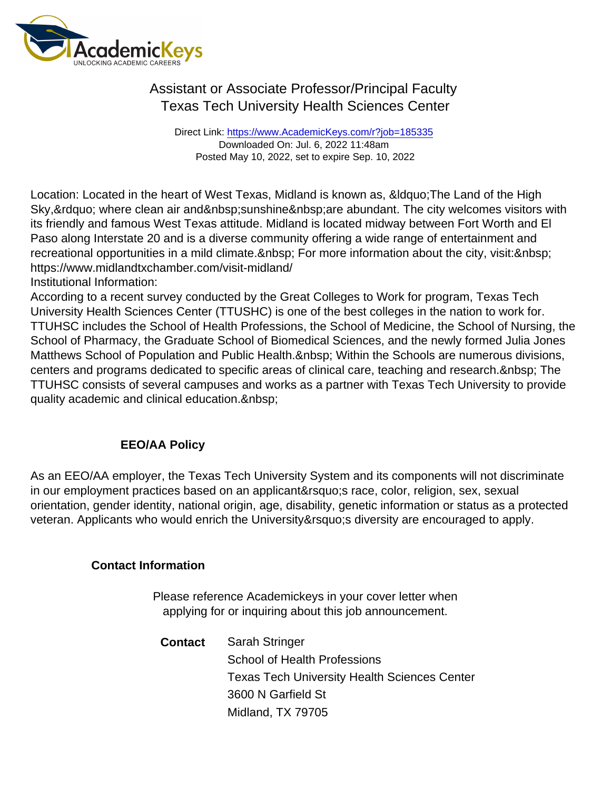Direct Link: <https://www.AcademicKeys.com/r?job=185335> Downloaded On: Jul. 6, 2022 11:48am Posted May 10, 2022, set to expire Sep. 10, 2022

Location: Located in the heart of West Texas, Midland is known as, &Idquo; The Land of the High Sky, & rdquo; where clean air and & nbsp; sunshine & nbsp; are abundant. The city welcomes visitors with its friendly and famous West Texas attitude. Midland is located midway between Fort Worth and El Paso along Interstate 20 and is a diverse community offering a wide range of entertainment and recreational opportunities in a mild climate. & nbsp; For more information about the city, visit: & nbsp; https://www.midlandtxchamber.com/visit-midland/

Institutional Information:

According to a recent survey conducted by the Great Colleges to Work for program, Texas Tech University Health Sciences Center (TTUSHC) is one of the best colleges in the nation to work for. TTUHSC includes the School of Health Professions, the School of Medicine, the School of Nursing, the School of Pharmacy, the Graduate School of Biomedical Sciences, and the newly formed Julia Jones Matthews School of Population and Public Health. Within the Schools are numerous divisions, centers and programs dedicated to specific areas of clinical care, teaching and research. & nbsp; The TTUHSC consists of several campuses and works as a partner with Texas Tech University to provide quality academic and clinical education.

#### EEO/AA Policy

As an EEO/AA employer, the Texas Tech University System and its components will not discriminate in our employment practices based on an applicant' race, color, religion, sex, sexual orientation, gender identity, national origin, age, disability, genetic information or status as a protected veteran. Applicants who would enrich the University' adiversity are encouraged to apply.

Contact Information

Please reference Academickeys in your cover letter when applying for or inquiring about this job announcement.

Contact Sarah Stringer School of Health Professions Texas Tech University Health Sciences Center 3600 N Garfield St Midland, TX 79705